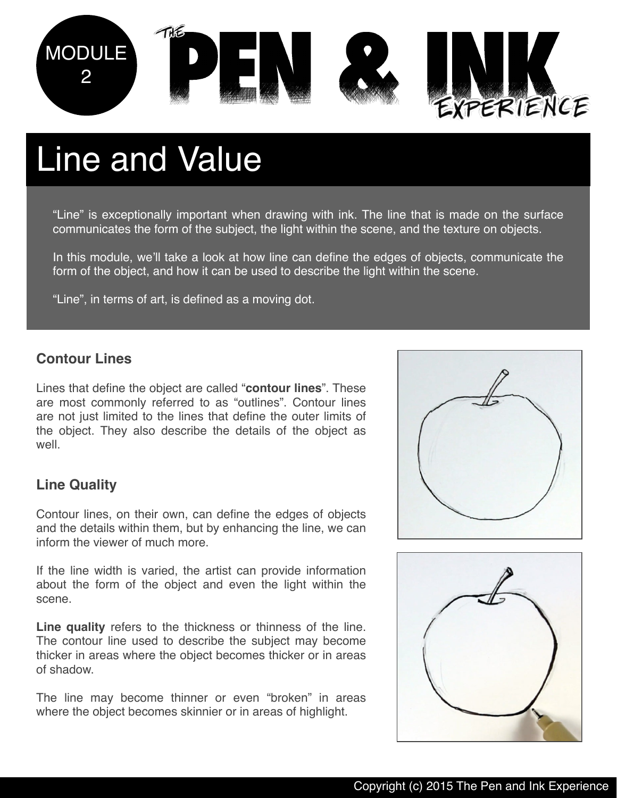

# Line and Value

"Line" is exceptionally important when drawing with ink. The line that is made on the surface communicates the form of the subject, the light within the scene, and the texture on objects.

In this module, we'll take a look at how line can define the edges of objects, communicate the form of the object, and how it can be used to describe the light within the scene.

"Line", in terms of art, is defined as a moving dot.

#### **Contour Lines**

Lines that define the object are called "**contour lines**". These are most commonly referred to as "outlines". Contour lines are not just limited to the lines that define the outer limits of the object. They also describe the details of the object as well.

#### $L$ in terms of art, is defined as a moving dot. In terms of art, is defined as a moving dot. **Line Quality**

Contour lines, on their own, can define the edges of objects and the details within them, but by enhancing the line, we can inform the viewer of much more.

If the line width is varied, the artist can provide information about the form of the object and even the light within the scene.

**Line quality** refers to the thickness or thinness of the line. The contour line used to describe the subject may become thicker in areas where the object becomes thicker or in areas of shadow.

The line may become thinner or even "broken" in areas where the object becomes skinnier or in areas of highlight.



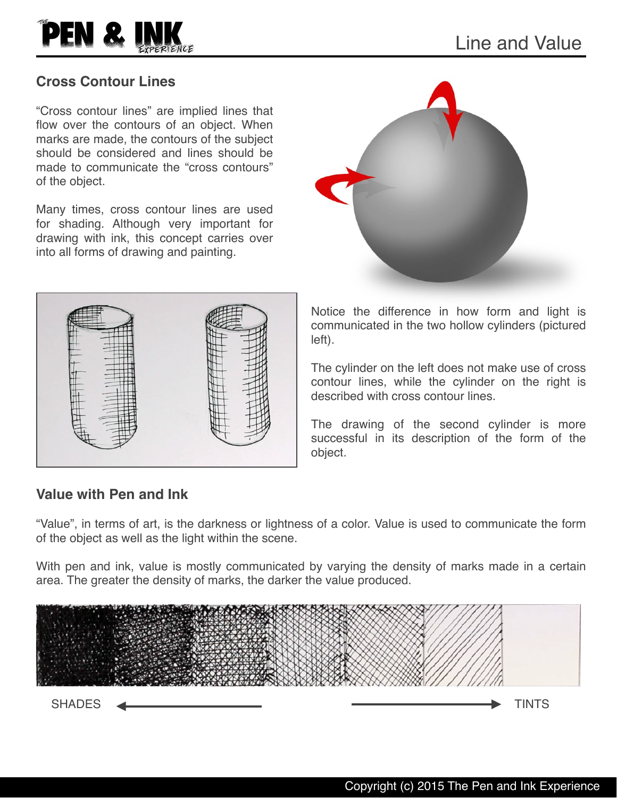

#### **Cross Contour Lines**

"Cross contour lines" are implied lines that flow over the contours of an object. When marks are made, the contours of the subject should be considered and lines should be made to communicate the "cross contours" of the object.

Many times, cross contour lines are used for shading. Although very important for drawing with ink, this concept carries over into all forms of drawing and painting.



Notice the difference in how form and light is communicated in the two hollow cylinders (pictured left).

The cylinder on the left does not make use of cross contour lines, while the cylinder on the right is described with cross contour lines.

The drawing of the second cylinder is more successful in its description of the form of the object.

#### **Value with Pen and Ink**

"Value", in terms of art, is the darkness or lightness of a color. Value is used to communicate the form of the object as well as the light within the scene.

With pen and ink, value is mostly communicated by varying the density of marks made in a certain area. The greater the density of marks, the darker the value produced.

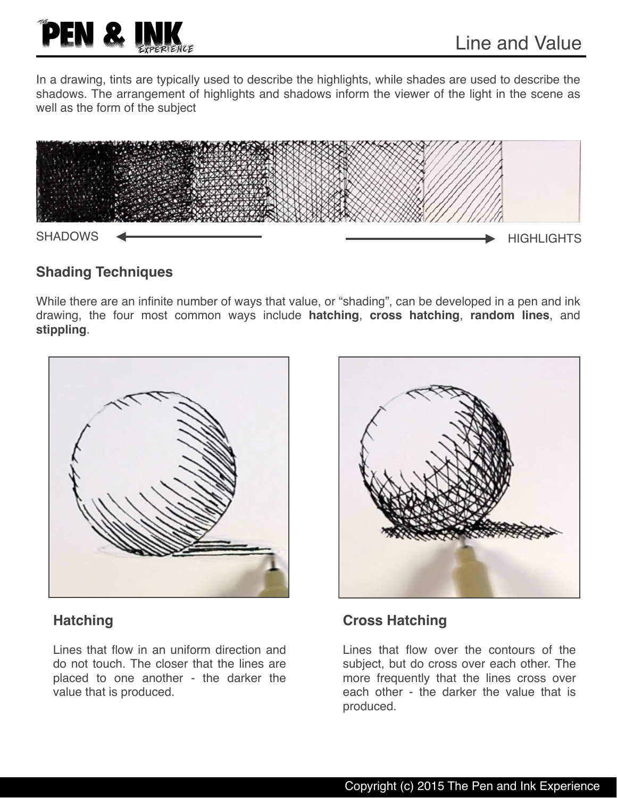

In a drawing, tints are typically used to describe the highlights, while shades are used to describe the shadows. The arrangement of highlights and shadows inform the viewer of the light in the scene as well as the form of the subject



#### **Shading Techniques**

While there are an infinite number of ways that value, or "shading", can be developed in a pen and ink drawing, the four most common ways include **hatching**, **cross hatching**, **random lines**, and **stippling**.



#### **Hatching**

Lines that flow in an uniform direction and do not touch. The closer that the lines are placed to one another - the darker the value that is produced.



#### **Cross Hatching**

Lines that flow over the contours of the subject, but do cross over each other. The more frequently that the lines cross over each other - the darker the value that is produced.